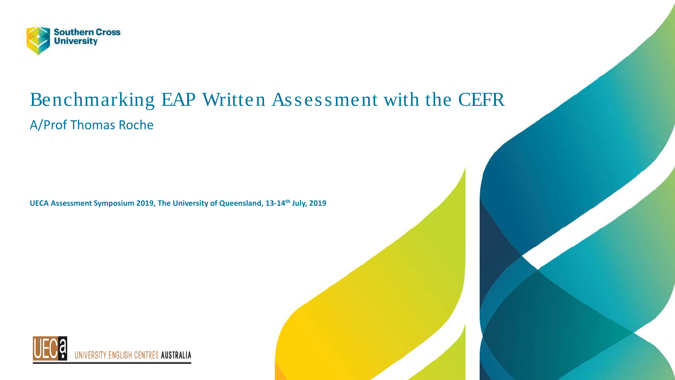

#### Benchmarking EAP Written Assessment with the CEFR A/Prof Thomas Roche

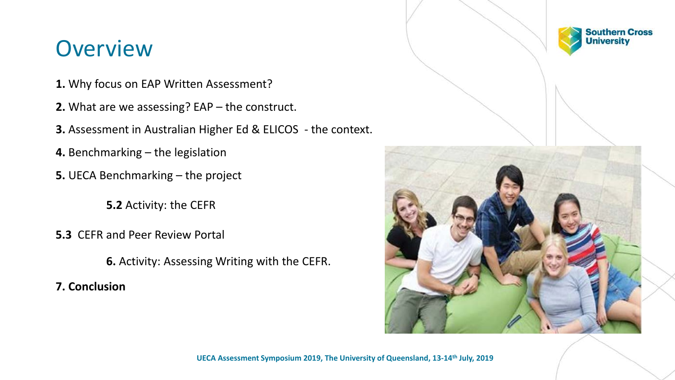#### **Overview**

- **1.** Why focus on EAP Written Assessment?
- **2.** What are we assessing? EAP the construct.
- **3.** Assessment in Australian Higher Ed & ELICOS the context.
- **4.** Benchmarking the legislation
- **5.** UECA Benchmarking the project
	- **5.2** Activity: the CEFR
- **5.3** CEFR and Peer Review Portal
	- **6.** Activity: Assessing Writing with the CEFR.
- **7. Conclusion**

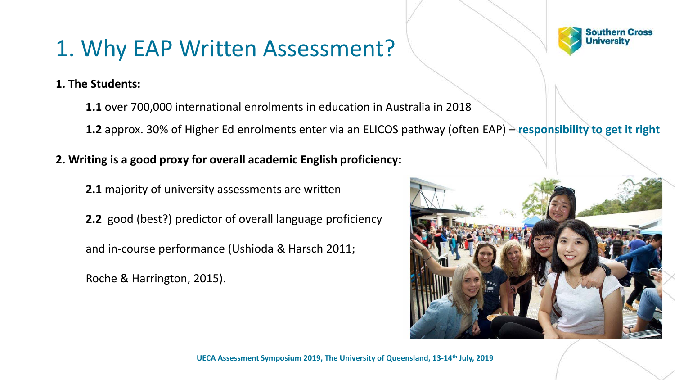#### 1. Why EAP Written Assessment?

**1. The Students:**

**1.1** over 700,000 international enrolments in education in Australia in 2018

**1.2** approx. 30% of Higher Ed enrolments enter via an ELICOS pathway (often EAP) – **responsibility to get it right**

**2. Writing is a good proxy for overall academic English proficiency:**

**2.1** majority of university assessments are written

**2.2** good (best?) predictor of overall language proficiency

and in-course performance (Ushioda & Harsch 2011;

Roche & Harrington, 2015).



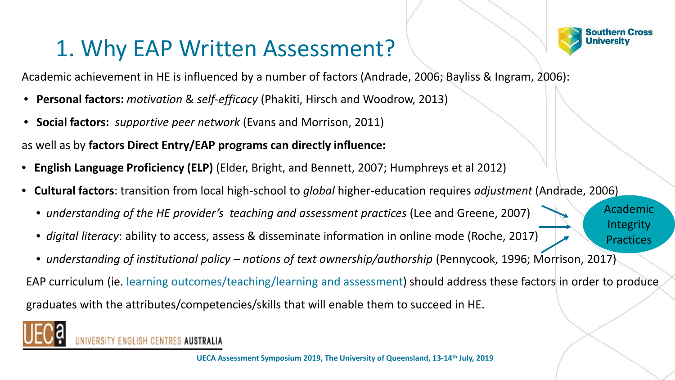#### 1. Why EAP Written Assessment?



Academic

Integrity

Practices

Academic achievement in HE is influenced by a number of factors (Andrade, 2006; Bayliss & Ingram, 2006):

- **Personal factors:** *motivation* & *self-efficacy* (Phakiti, Hirsch and Woodrow, 2013)
- **Social factors:** *supportive peer network* (Evans and Morrison, 2011)

as well as by **factors Direct Entry/EAP programs can directly influence:**

- **English Language Proficiency (ELP)** (Elder, Bright, and Bennett, 2007; Humphreys et al 2012)
- **Cultural factors**: transition from local high-school to *global* higher-education requires *adjustment* (Andrade, 2006)
	- *understanding of the HE provider's teaching and assessment practices* (Lee and Greene, 2007)
	- *digital literacy*: ability to access, assess & disseminate information in online mode (Roche, 2017)
	- *understanding of institutional policy – notions of text ownership/authorship* (Pennycook, 1996; Morrison, 2017)

EAP curriculum (ie. learning outcomes/teaching/learning and assessment) should address these factors in order to produce graduates with the attributes/competencies/skills that will enable them to succeed in HE.



**ENGLISH CENTRES AUSTRALIA**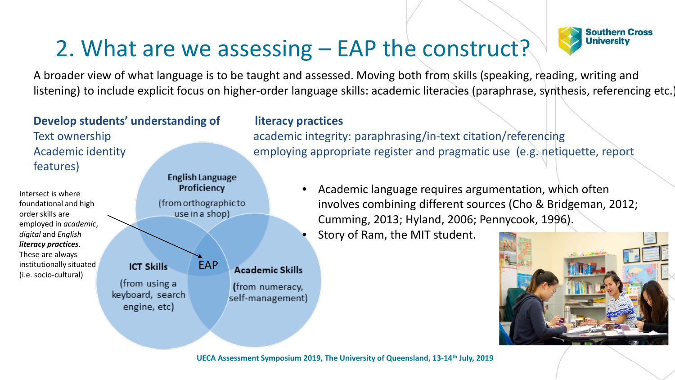#### 2. What are we assessing – EAP the construct?



A broader view of what language is to be taught and assessed. Moving both from skills (speaking, reading, writing and listening) to include explicit focus on higher-order language skills: academic literacies (paraphrase, synthesis, referencing etc.)

#### **Develop students' understanding of literacy practices** features) **English Language**

**ICT Skills** 

(from using a

keyboard, search

engine, etc)

EAP

Proficiency

(from orthographic to use in a shop)

Intersect is where foundational and high order skills are employed in *academic*, *digital* and *English literacy practices*. These are always institutionally situated (i.e. socio-cultural)

**Academic Skills** 

(from numeracy,

self-management)

Text ownership academic integrity: paraphrasing/in-text citation/referencing Academic identity employing appropriate register and pragmatic use (e.g. netiquette, report

- Academic language requires argumentation, which often involves combining different sources (Cho & Bridgeman, 2012; Cumming, 2013; Hyland, 2006; Pennycook, 1996).
- Story of Ram, the MIT student.

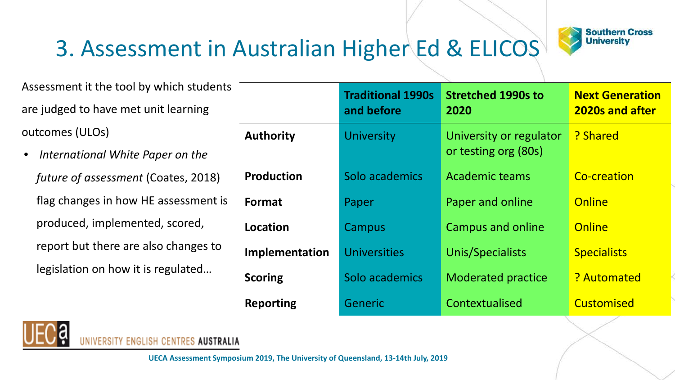

#### 3. Assessment in Australian Higher Ed & ELICOS

Assessment it the tool by which students are judged to have met unit learning outcomes (ULOs)

• *International White Paper on the future of assessment* (Coates, 2018) flag changes in how HE assessment is produced, implemented, scored, report but there are also changes to legislation on how it is regulated…

|                   | <b>Traditional 1990s</b><br>and before | <b>Stretched 1990s to</b><br>2020               | <b>Next Generation</b><br><b>2020s and after</b> |
|-------------------|----------------------------------------|-------------------------------------------------|--------------------------------------------------|
| <b>Authority</b>  | <b>University</b>                      | University or regulator<br>or testing org (80s) | ? Shared                                         |
| <b>Production</b> | Solo academics                         | <b>Academic teams</b>                           | Co-creation                                      |
| <b>Format</b>     | Paper                                  | Paper and online                                | Online                                           |
| Location          | Campus                                 | <b>Campus and online</b>                        | Online                                           |
| Implementation    | <b>Universities</b>                    | Unis/Specialists                                | <b>Specialists</b>                               |
| <b>Scoring</b>    | Solo academics                         | <b>Moderated practice</b>                       | ? Automated                                      |
| <b>Reporting</b>  | Generic                                | Contextualised                                  | Customised                                       |



'Y ENGLISH CENTRES **AUSTRALIA**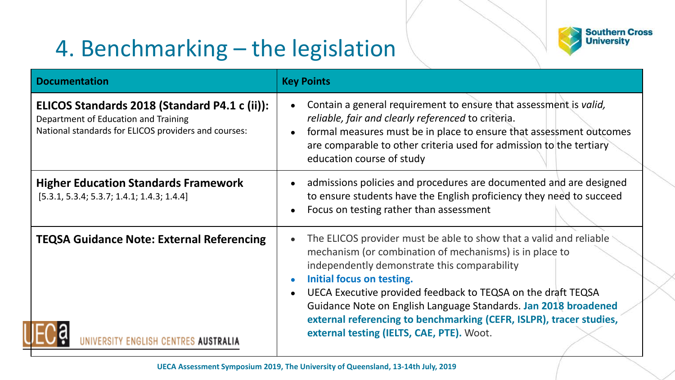#### 4. Benchmarking – the legislation



| <b>Documentation</b>                                                                                                                          | <b>Key Points</b>                                                                                                                                                                                                                                                                                                                                                                                                                                                 |  |  |
|-----------------------------------------------------------------------------------------------------------------------------------------------|-------------------------------------------------------------------------------------------------------------------------------------------------------------------------------------------------------------------------------------------------------------------------------------------------------------------------------------------------------------------------------------------------------------------------------------------------------------------|--|--|
| ELICOS Standards 2018 (Standard P4.1 c (ii)):<br>Department of Education and Training<br>National standards for ELICOS providers and courses: | Contain a general requirement to ensure that assessment is valid,<br>reliable, fair and clearly referenced to criteria.<br>formal measures must be in place to ensure that assessment outcomes<br>are comparable to other criteria used for admission to the tertiary<br>education course of study                                                                                                                                                                |  |  |
| <b>Higher Education Standards Framework</b><br>$[5.3.1, 5.3.4; 5.3.7; 1.4.1; 1.4.3; 1.4.4]$                                                   | admissions policies and procedures are documented and are designed<br>to ensure students have the English proficiency they need to succeed<br>Focus on testing rather than assessment                                                                                                                                                                                                                                                                             |  |  |
| <b>TEQSA Guidance Note: External Referencing</b><br>ISH CENTRES <b>AUSTRALIA</b>                                                              | The ELICOS provider must be able to show that a valid and reliable<br>mechanism (or combination of mechanisms) is in place to<br>independently demonstrate this comparability<br>Initial focus on testing.<br>UECA Executive provided feedback to TEQSA on the draft TEQSA<br>Guidance Note on English Language Standards. Jan 2018 broadened<br>external referencing to benchmarking (CEFR, ISLPR), tracer studies,<br>external testing (IELTS, CAE, PTE). Woot. |  |  |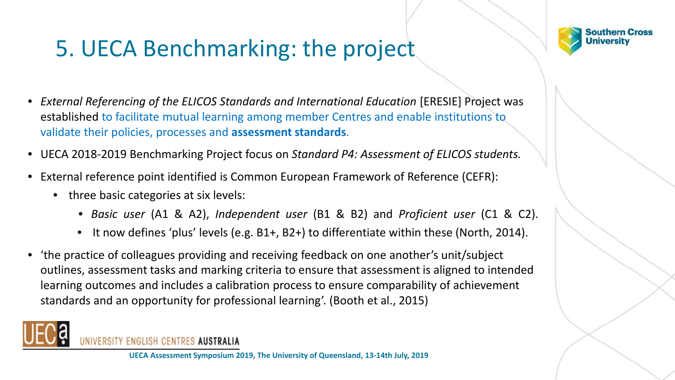#### 5. UECA Benchmarking: the project



- *External Referencing of the ELICOS Standards and International Education* [ERESIE] Project was established to facilitate mutual learning among member Centres and enable institutions to validate their policies, processes and **assessment standards**.
- UECA 2018-2019 Benchmarking Project focus on *Standard P4: Assessment of ELICOS students.*
- External reference point identified is Common European Framework of Reference (CEFR):
	- three basic categories at six levels:
		- *Basic user* (A1 & A2), *Independent user* (B1 & B2) and *Proficient user* (C1 & C2).
		- It now defines 'plus' levels (e.g. B1+, B2+) to differentiate within these (North, 2014).
- 'the practice of colleagues providing and receiving feedback on one another's unit/subject outlines, assessment tasks and marking criteria to ensure that assessment is aligned to intended learning outcomes and includes a calibration process to ensure comparability of achievement standards and an opportunity for professional learning'. (Booth et al., 2015)



RSITY ENGLISH CENTRES AUSTRALIA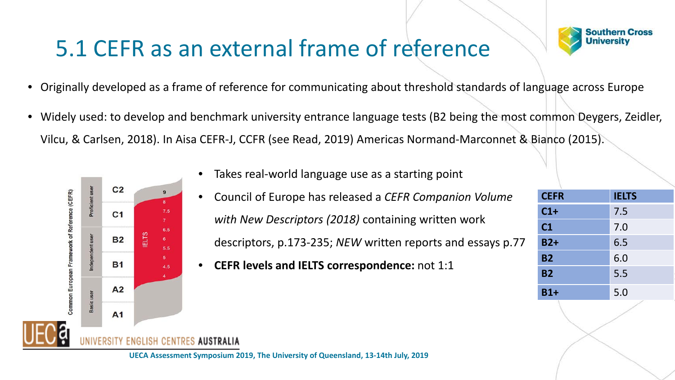#### 5.1 CEFR as an external frame of reference



- Originally developed as a frame of reference for communicating about threshold standards of language across Europe
- Widely used: to develop and benchmark university entrance language tests (B2 being the most common Deygers, Zeidler, Vilcu, & Carlsen, 2018). In Aisa CEFR-J, CCFR (see Read, 2019) Americas Normand-Marconnet & Bianco (2015).



- Takes real-world language use as a starting point
- Council of Europe has released a *CEFR Companion Volume with New Descriptors (2018)* containing written work descriptors, p.173-235; *NEW* written reports and essays p.77
- **CEFR levels and IELTS correspondence:** not 1:1

| <b>CEFR</b>    | <b>IELTS</b> |
|----------------|--------------|
| $C1+$          | 7.5          |
| C <sub>1</sub> | 7.0          |
| $B2+$          | 6.5          |
| <b>B2</b>      | 6.0          |
| <b>B2</b>      | 5.5          |
| $B1+$          | 5.0          |



**AUSTRALIA**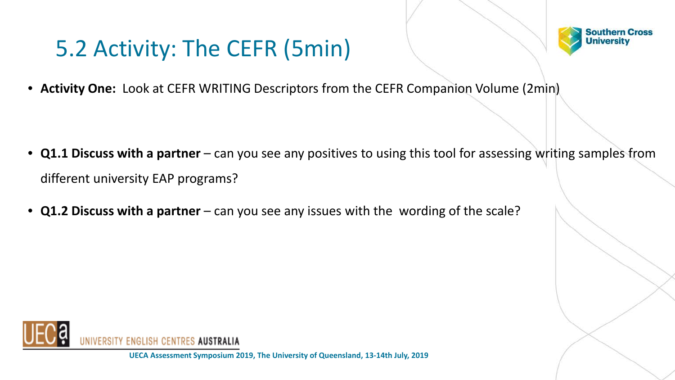#### 5.2 Activity: The CEFR (5min)



• **Activity One:** Look at CEFR WRITING Descriptors from the CEFR Companion Volume (2min)

- **Q1.1 Discuss with a partner** can you see any positives to using this tool for assessing writing samples from different university EAP programs?
- **Q1.2 Discuss with a partner**  can you see any issues with the wording of the scale?

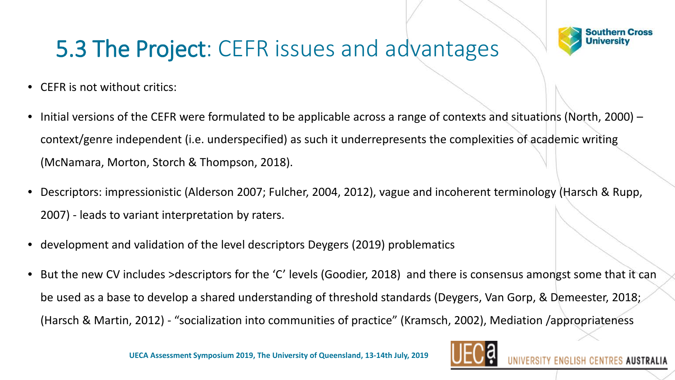

ES AUSTRALIA

#### 5.3 The Project: CEFR issues and advantages

- CEFR is not without critics:
- Initial versions of the CEFR were formulated to be applicable across a range of contexts and situations (North, 2000) context/genre independent (i.e. underspecified) as such it underrepresents the complexities of academic writing (McNamara, Morton, Storch & Thompson, 2018).
- Descriptors: impressionistic (Alderson 2007; Fulcher, 2004, 2012), vague and incoherent terminology (Harsch & Rupp, 2007) - leads to variant interpretation by raters.
- development and validation of the level descriptors Deygers (2019) problematics
- But the new CV includes >descriptors for the 'C' levels (Goodier, 2018) and there is consensus amongst some that it can be used as a base to develop a shared understanding of threshold standards (Deygers, Van Gorp, & Demeester, 2018; (Harsch & Martin, 2012) - "socialization into communities of practice" (Kramsch, 2002), Mediation /appropriateness

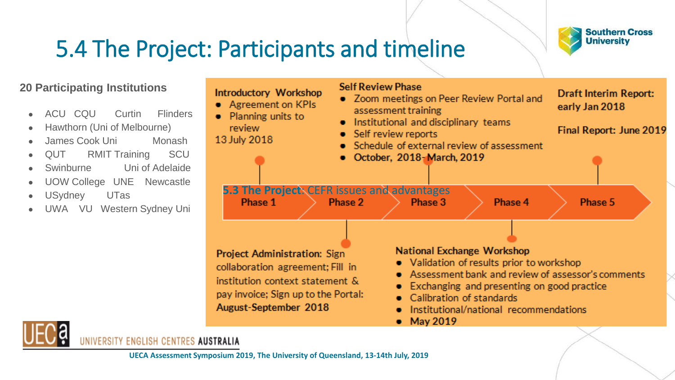#### 5.4 The Project: Participants and timeline



#### **20 Participating Institutions**

- ACU CQU Curtin Flinders
- Hawthorn (Uni of Melbourne)
- James Cook Uni Monash
- QUT RMIT Training SCU
- Swinburne Uni of Adelaide
- UOW College UNE Newcastle
- USydney UTas
- UWA VU Western Sydney Uni





IVERSITY ENGLISH CENTRES **AUSTRALIA**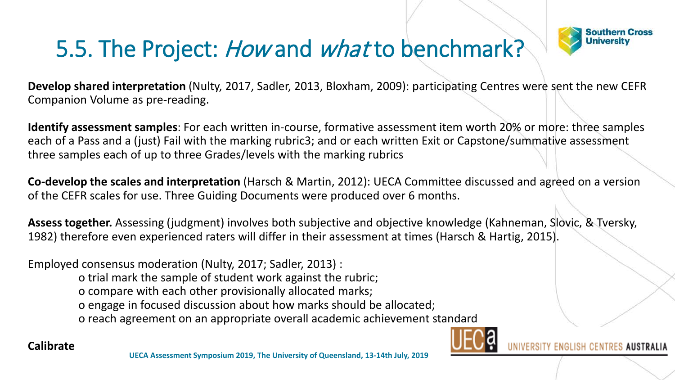### 5.5. The Project: How and what to benchmark?



**Develop shared interpretation** (Nulty, 2017, Sadler, 2013, Bloxham, 2009): participating Centres were sent the new CEFR Companion Volume as pre-reading.

**Identify assessment samples**: For each written in-course, formative assessment item worth 20% or more: three samples each of a Pass and a (just) Fail with the marking rubric3; and or each written Exit or Capstone/summative assessment three samples each of up to three Grades/levels with the marking rubrics

**Co-develop the scales and interpretation** (Harsch & Martin, 2012): UECA Committee discussed and agreed on a version of the CEFR scales for use. Three Guiding Documents were produced over 6 months.

**Assess together.** Assessing (judgment) involves both subjective and objective knowledge (Kahneman, Slovic, & Tversky, 1982) therefore even experienced raters will differ in their assessment at times (Harsch & Hartig, 2015).

Employed consensus moderation (Nulty, 2017; Sadler, 2013) :

o trial mark the sample of student work against the rubric;

o compare with each other provisionally allocated marks;

o engage in focused discussion about how marks should be allocated;

o reach agreement on an appropriate overall academic achievement standard



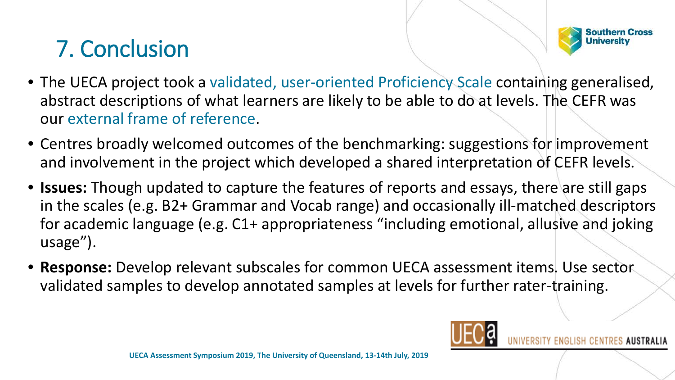## 7. Conclusion



- The UECA project took a validated, user-oriented Proficiency Scale containing generalised, abstract descriptions of what learners are likely to be able to do at levels. The CEFR was our external frame of reference.
- Centres broadly welcomed outcomes of the benchmarking: suggestions for improvement and involvement in the project which developed a shared interpretation of CEFR levels.
- **Issues:** Though updated to capture the features of reports and essays, there are still gaps in the scales (e.g. B2+ Grammar and Vocab range) and occasionally ill-matched descriptors for academic language (e.g. C1+ appropriateness "including emotional, allusive and joking usage").
- **Response:** Develop relevant subscales for common UECA assessment items. Use sector validated samples to develop annotated samples at levels for further rater-training.